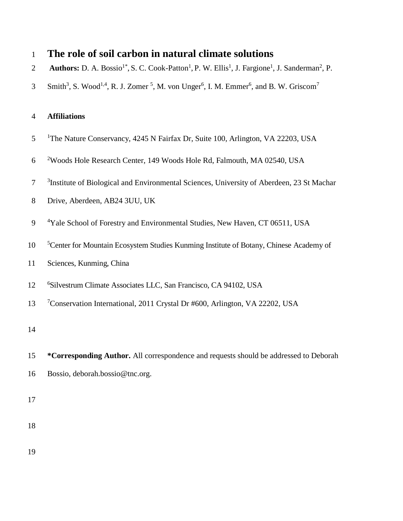- 2 **Authors:** D. A. Bossio<sup>1\*</sup>, S. C. Cook-Patton<sup>1</sup>, P. W. Ellis<sup>1</sup>, J. Fargione<sup>1</sup>, J. Sanderman<sup>2</sup>, P.
- Smith<sup>3</sup>, S. Wood<sup>1,4</sup>, R. J. Zomer<sup>5</sup>, M. von Unger<sup>6</sup>, I. M. Emmer<sup>6</sup>, and B. W. Griscom<sup>7</sup>

## **Affiliations**

- <sup>1</sup>The Nature Conservancy, 4245 N Fairfax Dr, Suite 100, Arlington, VA 22203, USA
- Woods Hole Research Center, 149 Woods Hole Rd, Falmouth, MA 02540, USA
- <sup>3</sup>Institute of Biological and Environmental Sciences, University of Aberdeen, 23 St Machar
- Drive, Aberdeen, AB24 3UU, UK
- 9 <sup>4</sup>Yale School of Forestry and Environmental Studies, New Haven, CT 06511, USA
- <sup>5</sup> Center for Mountain Ecosystem Studies Kunming Institute of Botany, Chinese Academy of
- Sciences, Kunming, China
- 12 <sup>6</sup>Silvestrum Climate Associates LLC, San Francisco, CA 94102, USA
- <sup>7</sup>Conservation International, 2011 Crystal Dr #600, Arlington, VA 22202, USA

 **\*Corresponding Author.** All correspondence and requests should be addressed to Deborah Bossio, deborah.bossio@tnc.org.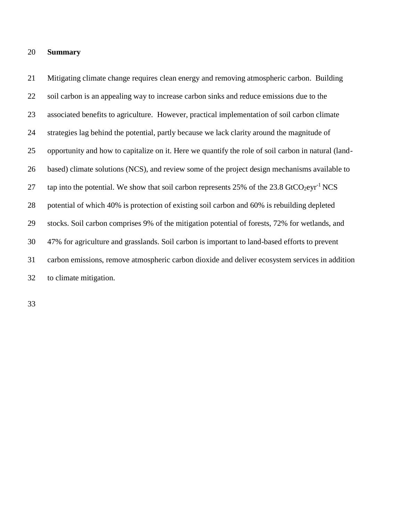## **Summary**

 Mitigating climate change requires clean energy and removing atmospheric carbon. Building soil carbon is an appealing way to increase carbon sinks and reduce emissions due to the associated benefits to agriculture. However, practical implementation of soil carbon climate strategies lag behind the potential, partly because we lack clarity around the magnitude of opportunity and how to capitalize on it. Here we quantify the role of soil carbon in natural (land- based) climate solutions (NCS), and review some of the project design mechanisms available to 27 tap into the potential. We show that soil carbon represents  $25\%$  of the  $23.8$  GtCO<sub>2</sub>eyr<sup>-1</sup> NCS potential of which 40% is protection of existing soil carbon and 60% is rebuilding depleted stocks. Soil carbon comprises 9% of the mitigation potential of forests, 72% for wetlands, and 47% for agriculture and grasslands. Soil carbon is important to land-based efforts to prevent carbon emissions, remove atmospheric carbon dioxide and deliver ecosystem services in addition to climate mitigation.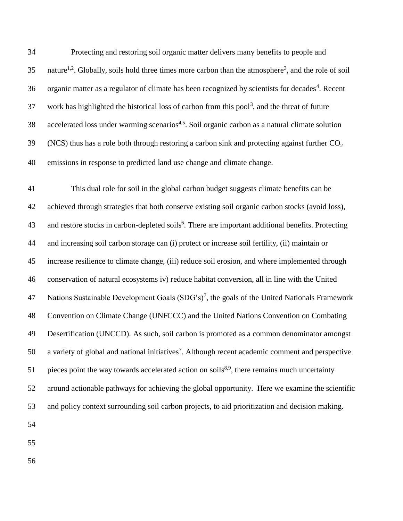Protecting and restoring soil organic matter delivers many benefits to people and 35 nature<sup>1,2</sup>. Globally, soils hold three times more carbon than the atmosphere<sup>3</sup>, and the role of soil 36 organic matter as a regulator of climate has been recognized by scientists for decades<sup>4</sup>. Recent work has highlighted the historical loss of carbon from this pool<sup>3</sup>, and the threat of future 38 accelerated loss under warming scenarios<sup>4,5</sup>. Soil organic carbon as a natural climate solution (NCS) thus has a role both through restoring a carbon sink and protecting against further CO<sub>2</sub> emissions in response to predicted land use change and climate change.

 This dual role for soil in the global carbon budget suggests climate benefits can be achieved through strategies that both conserve existing soil organic carbon stocks (avoid loss), 43 and restore stocks in carbon-depleted soils<sup>6</sup>. There are important additional benefits. Protecting and increasing soil carbon storage can (i) protect or increase soil fertility, (ii) maintain or increase resilience to climate change, (iii) reduce soil erosion, and where implemented through conservation of natural ecosystems iv) reduce habitat conversion, all in line with the United 47 Nations Sustainable Development Goals  $(SDG's)^7$ , the goals of the United Nationals Framework Convention on Climate Change (UNFCCC) and the United Nations Convention on Combating Desertification (UNCCD). As such, soil carbon is promoted as a common denominator amongst 50 a variety of global and national initiatives<sup>7</sup>. Although recent academic comment and perspective 51 pieces point the way towards accelerated action on soils<sup>8,9</sup>, there remains much uncertainty around actionable pathways for achieving the global opportunity. Here we examine the scientific and policy context surrounding soil carbon projects, to aid prioritization and decision making. 

- 
-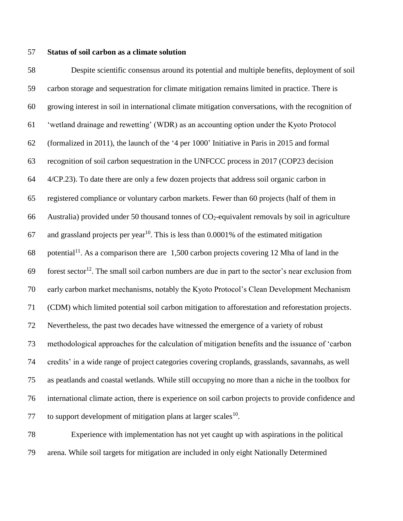#### **Status of soil carbon as a climate solution**

 Despite scientific consensus around its potential and multiple benefits, deployment of soil carbon storage and sequestration for climate mitigation remains limited in practice. There is growing interest in soil in international climate mitigation conversations, with the recognition of 'wetland drainage and rewetting' (WDR) as an accounting option under the Kyoto Protocol (formalized in 2011), the launch of the '4 per 1000' Initiative in Paris in 2015 and formal recognition of soil carbon sequestration in the UNFCCC process in 2017 (COP23 decision 4/CP.23). To date there are only a few dozen projects that address soil organic carbon in registered compliance or voluntary carbon markets. Fewer than 60 projects (half of them in 66 Australia) provided under 50 thousand tonnes of  $CO<sub>2</sub>$ -equivalent removals by soil in agriculture 67 and grassland projects per year<sup>10</sup>. This is less than 0.0001% of the estimated mitigation 68 potential<sup>11</sup>. As a comparison there are 1,500 carbon projects covering 12 Mha of land in the  $\epsilon$  forest sector<sup>12</sup>. The small soil carbon numbers are due in part to the sector's near exclusion from early carbon market mechanisms, notably the Kyoto Protocol's Clean Development Mechanism (CDM) which limited potential soil carbon mitigation to afforestation and reforestation projects. Nevertheless, the past two decades have witnessed the emergence of a variety of robust methodological approaches for the calculation of mitigation benefits and the issuance of 'carbon credits' in a wide range of project categories covering croplands, grasslands, savannahs, as well as peatlands and coastal wetlands. While still occupying no more than a niche in the toolbox for international climate action, there is experience on soil carbon projects to provide confidence and 77 to support development of mitigation plans at larger scales .

 Experience with implementation has not yet caught up with aspirations in the political arena. While soil targets for mitigation are included in only eight Nationally Determined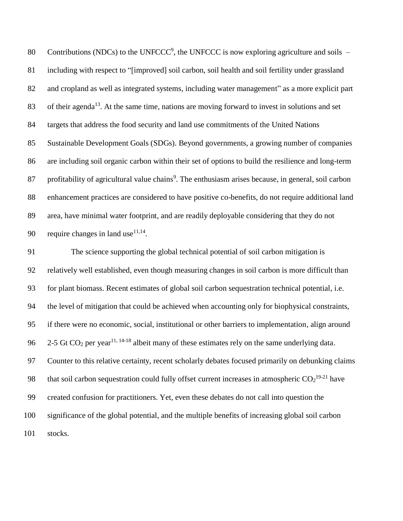80 Contributions (NDCs) to the UNFCCC<sup>9</sup>, the UNFCCC is now exploring agriculture and soils  $-$  including with respect to "[improved] soil carbon, soil health and soil fertility under grassland and cropland as well as integrated systems, including water management" as a more explicit part 83 of their agenda<sup>13</sup>. At the same time, nations are moving forward to invest in solutions and set targets that address the food security and land use commitments of the United Nations Sustainable Development Goals (SDGs). Beyond governments, a growing number of companies are including soil organic carbon within their set of options to build the resilience and long-term 87 profitability of agricultural value chains<sup>9</sup>. The enthusiasm arises because, in general, soil carbon enhancement practices are considered to have positive co-benefits, do not require additional land area, have minimal water footprint, and are readily deployable considering that they do not 90 require changes in land use  $11,14$ .

 The science supporting the global technical potential of soil carbon mitigation is relatively well established, even though measuring changes in soil carbon is more difficult than for plant biomass. Recent estimates of global soil carbon sequestration technical potential, i.e. the level of mitigation that could be achieved when accounting only for biophysical constraints, if there were no economic, social, institutional or other barriers to implementation, align around 2-5 Gt CO<sub>2</sub> per year<sup>11, 14-18</sup> albeit many of these estimates rely on the same underlying data. Counter to this relative certainty, recent scholarly debates focused primarily on debunking claims 98 that soil carbon sequestration could fully offset current increases in atmospheric  $CO_2^{19-21}$  have created confusion for practitioners. Yet, even these debates do not call into question the significance of the global potential, and the multiple benefits of increasing global soil carbon stocks.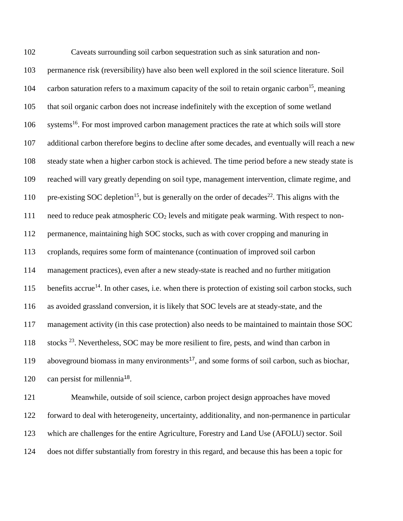Caveats surrounding soil carbon sequestration such as sink saturation and non- permanence risk (reversibility) have also been well explored in the soil science literature. Soil 104 – carbon saturation refers to a maximum capacity of the soil to retain organic carbon<sup>15</sup>, meaning that soil organic carbon does not increase indefinitely with the exception of some wetland 106 systems<sup>16</sup>. For most improved carbon management practices the rate at which soils will store additional carbon therefore begins to decline after some decades, and eventually will reach a new steady state when a higher carbon stock is achieved. The time period before a new steady state is reached will vary greatly depending on soil type, management intervention, climate regime, and 110 pre-existing SOC depletion<sup>15</sup>, but is generally on the order of decades<sup>22</sup>. This aligns with the 111 need to reduce peak atmospheric  $CO<sub>2</sub>$  levels and mitigate peak warming. With respect to non-112 permanence, maintaining high SOC stocks, such as with cover cropping and manuring in croplands, requires some form of maintenance (continuation of improved soil carbon management practices), even after a new steady-state is reached and no further mitigation 115 benefits accrue<sup>14</sup>. In other cases, i.e. when there is protection of existing soil carbon stocks, such as avoided grassland conversion, it is likely that SOC levels are at steady-state, and the management activity (in this case protection) also needs to be maintained to maintain those SOC 118 stocks<sup>23</sup>. Nevertheless, SOC may be more resilient to fire, pests, and wind than carbon in 119 aboveground biomass in many environments<sup>17</sup>, and some forms of soil carbon, such as biochar, 120  $\degree$  can persist for millennia<sup>18</sup>.

 Meanwhile, outside of soil science, carbon project design approaches have moved forward to deal with heterogeneity, uncertainty, additionality, and non-permanence in particular which are challenges for the entire Agriculture, Forestry and Land Use (AFOLU) sector. Soil does not differ substantially from forestry in this regard, and because this has been a topic for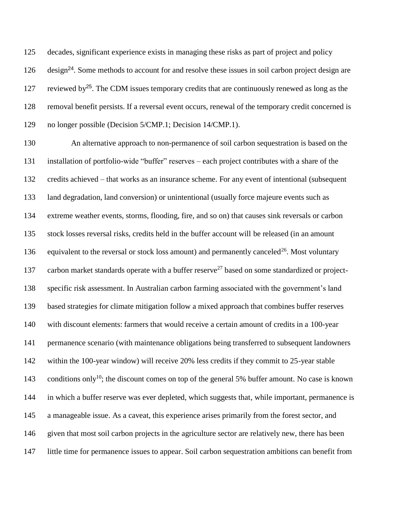decades, significant experience exists in managing these risks as part of project and policy 126 design<sup>24</sup>. Some methods to account for and resolve these issues in soil carbon project design are 127 reviewed by<sup>25</sup>. The CDM issues temporary credits that are continuously renewed as long as the removal benefit persists. If a reversal event occurs, renewal of the temporary credit concerned is no longer possible (Decision 5/CMP.1; Decision 14/CMP.1).

 An alternative approach to non-permanence of soil carbon sequestration is based on the installation of portfolio-wide "buffer" reserves – each project contributes with a share of the credits achieved – that works as an insurance scheme. For any event of intentional (subsequent land degradation, land conversion) or unintentional (usually force majeure events such as extreme weather events, storms, flooding, fire, and so on) that causes sink reversals or carbon stock losses reversal risks, credits held in the buffer account will be released (in an amount 136 equivalent to the reversal or stock loss amount) and permanently canceled<sup>26</sup>. Most voluntary 137 carbon market standards operate with a buffer reserve<sup>27</sup> based on some standardized or project- specific risk assessment. In Australian carbon farming associated with the government's land based strategies for climate mitigation follow a mixed approach that combines buffer reserves with discount elements: farmers that would receive a certain amount of credits in a 100-year permanence scenario (with maintenance obligations being transferred to subsequent landowners within the 100-year window) will receive 20% less credits if they commit to 25-year stable 143 conditions only<sup>10</sup>; the discount comes on top of the general 5% buffer amount. No case is known in which a buffer reserve was ever depleted, which suggests that, while important, permanence is a manageable issue. As a caveat, this experience arises primarily from the forest sector, and given that most soil carbon projects in the agriculture sector are relatively new, there has been little time for permanence issues to appear. Soil carbon sequestration ambitions can benefit from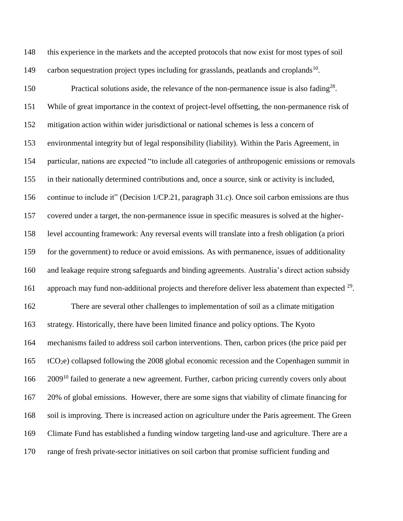this experience in the markets and the accepted protocols that now exist for most types of soil 149 carbon sequestration project types including for grasslands, peatlands and croplands<sup>10</sup>.

150 Practical solutions aside, the relevance of the non-permanence issue is also fading<sup>28</sup>. While of great importance in the context of project-level offsetting, the non-permanence risk of mitigation action within wider jurisdictional or national schemes is less a concern of environmental integrity but of legal responsibility (liability). Within the Paris Agreement, in particular, nations are expected "to include all categories of anthropogenic emissions or removals in their nationally determined contributions and, once a source, sink or activity is included, continue to include it" (Decision 1/CP.21, paragraph 31.c). Once soil carbon emissions are thus covered under a target, the non-permanence issue in specific measures is solved at the higher- level accounting framework: Any reversal events will translate into a fresh obligation (a priori for the government) to reduce or avoid emissions. As with permanence, issues of additionality and leakage require strong safeguards and binding agreements. Australia's direct action subsidy 161 approach may fund non-additional projects and therefore deliver less abatement than expected . There are several other challenges to implementation of soil as a climate mitigation strategy. Historically, there have been limited finance and policy options. The Kyoto mechanisms failed to address soil carbon interventions. Then, carbon prices (the price paid per tCO2e) collapsed following the 2008 global economic recession and the Copenhagen summit in 166 2009<sup>10</sup> failed to generate a new agreement. Further, carbon pricing currently covers only about 20% of global emissions. However, there are some signs that viability of climate financing for soil is improving. There is increased action on agriculture under the Paris agreement. The Green Climate Fund has established a funding window targeting land-use and agriculture. There are a range of fresh private-sector initiatives on soil carbon that promise sufficient funding and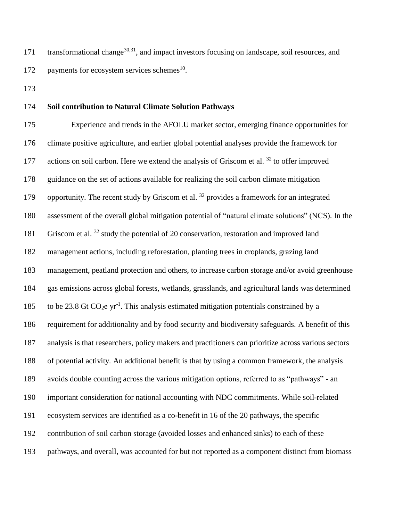171 transformational change<sup>30,31</sup>, and impact investors focusing on landscape, soil resources, and 172 payments for ecosystem services schemes.

## **Soil contribution to Natural Climate Solution Pathways**

 Experience and trends in the AFOLU market sector, emerging finance opportunities for climate positive agriculture, and earlier global potential analyses provide the framework for 177 actions on soil carbon. Here we extend the analysis of Griscom et al. to offer improved guidance on the set of actions available for realizing the soil carbon climate mitigation 179 opportunity. The recent study by Griscom et al. provides a framework for an integrated assessment of the overall global mitigation potential of "natural climate solutions" (NCS). In the 181 Griscom et al. study the potential of 20 conservation, restoration and improved land management actions, including reforestation, planting trees in croplands, grazing land management, peatland protection and others, to increase carbon storage and/or avoid greenhouse gas emissions across global forests, wetlands, grasslands, and agricultural lands was determined 185 to be 23.8 Gt  $CO<sub>2</sub>e yr<sup>-1</sup>$ . This analysis estimated mitigation potentials constrained by a requirement for additionality and by food security and biodiversity safeguards. A benefit of this analysis is that researchers, policy makers and practitioners can prioritize across various sectors of potential activity. An additional benefit is that by using a common framework, the analysis avoids double counting across the various mitigation options, referred to as "pathways" - an important consideration for national accounting with NDC commitments. While soil-related ecosystem services are identified as a co-benefit in 16 of the 20 pathways, the specific contribution of soil carbon storage (avoided losses and enhanced sinks) to each of these pathways, and overall, was accounted for but not reported as a component distinct from biomass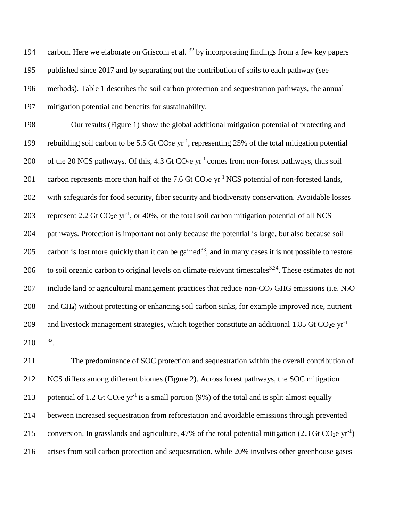194 carbon. Here we elaborate on Griscom et al.  $^{32}$  by incorporating findings from a few key papers published since 2017 and by separating out the contribution of soils to each pathway (see methods). Table 1 describes the soil carbon protection and sequestration pathways, the annual mitigation potential and benefits for sustainability.

198 Our results (Figure 1) show the global additional mitigation potential of protecting and 199 rebuilding soil carbon to be 5.5 Gt CO<sub>2</sub>e yr<sup>-1</sup>, representing 25% of the total mitigation potential 200 of the 20 NCS pathways. Of this, 4.3 Gt CO<sub>2</sub>e  $yr^{-1}$  comes from non-forest pathways, thus soil 201 carbon represents more than half of the 7.6 Gt  $CO<sub>2</sub>e yr<sup>-1</sup> NCS$  potential of non-forested lands, 202 with safeguards for food security, fiber security and biodiversity conservation. Avoidable losses 203 represent 2.2 Gt CO<sub>2</sub>e yr<sup>-1</sup>, or 40%, of the total soil carbon mitigation potential of all NCS 204 pathways. Protection is important not only because the potential is large, but also because soil 205 carbon is lost more quickly than it can be gained<sup>33</sup>, and in many cases it is not possible to restore 206 to soil organic carbon to original levels on climate-relevant timescales<sup>3,34</sup>. These estimates do not 207 include land or agricultural management practices that reduce non- $CO<sub>2</sub>$  GHG emissions (i.e. N<sub>2</sub>O 208 and CH4) without protecting or enhancing soil carbon sinks, for example improved rice, nutrient and livestock management strategies, which together constitute an additional 1.85 Gt CO<sub>2</sub>e yr<sup>-1</sup> 209  $210^{32}$ .

 The predominance of SOC protection and sequestration within the overall contribution of NCS differs among different biomes (Figure 2). Across forest pathways, the SOC mitigation 213 potential of 1.2 Gt CO<sub>2</sub>e yr<sup>-1</sup> is a small portion (9%) of the total and is split almost equally between increased sequestration from reforestation and avoidable emissions through prevented 215 conversion. In grasslands and agriculture, 47% of the total potential mitigation (2.3 Gt CO<sub>2</sub>e yr<sup>-1</sup>) arises from soil carbon protection and sequestration, while 20% involves other greenhouse gases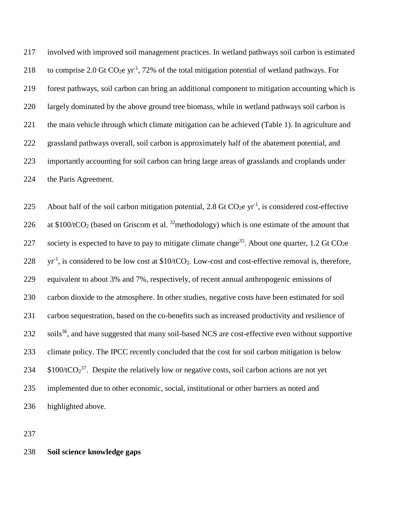involved with improved soil management practices. In wetland pathways soil carbon is estimated 218 to comprise 2.0 Gt CO<sub>2</sub>e yr<sup>-1</sup>, 72% of the total mitigation potential of wetland pathways. For forest pathways, soil carbon can bring an additional component to mitigation accounting which is largely dominated by the above ground tree biomass, while in wetland pathways soil carbon is the main vehicle through which climate mitigation can be achieved (Table 1). In agriculture and grassland pathways overall, soil carbon is approximately half of the abatement potential, and importantly accounting for soil carbon can bring large areas of grasslands and croplands under the Paris Agreement.

225 About half of the soil carbon mitigation potential, 2.8 Gt CO<sub>2</sub>e yr<sup>-1</sup>, is considered cost-effective 226 at \$100/tCO<sub>2</sub> (based on Griscom et al. <sup>32</sup>methodology) which is one estimate of the amount that 227 society is expected to have to pay to mitigate climate change<sup>35</sup>. About one quarter, 1.2 Gt CO<sub>2</sub>e yr<sup>-1</sup>, is considered to be low cost at \$10/tCO<sub>2</sub>. Low-cost and cost-effective removal is, therefore, equivalent to about 3% and 7%, respectively, of recent annual anthropogenic emissions of carbon dioxide to the atmosphere. In other studies, negative costs have been estimated for soil carbon sequestration, based on the co-benefits such as increased productivity and resilience of soils<sup>36</sup>, and have suggested that many soil-based NCS are cost-effective even without supportive climate policy. The IPCC recently concluded that the cost for soil carbon mitigation is below  $$100/tCO<sub>2</sub><sup>37</sup>$ . Despite the relatively low or negative costs, soil carbon actions are not yet implemented due to other economic, social, institutional or other barriers as noted and highlighted above.

### **Soil science knowledge gaps**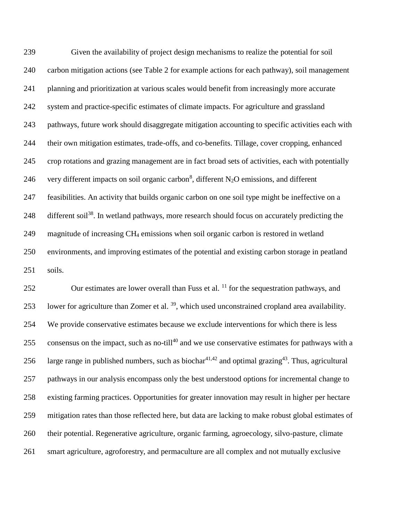Given the availability of project design mechanisms to realize the potential for soil carbon mitigation actions (see Table 2 for example actions for each pathway), soil management planning and prioritization at various scales would benefit from increasingly more accurate system and practice-specific estimates of climate impacts. For agriculture and grassland pathways, future work should disaggregate mitigation accounting to specific activities each with their own mitigation estimates, trade-offs, and co-benefits. Tillage, cover cropping, enhanced crop rotations and grazing management are in fact broad sets of activities, each with potentially 246 very different impacts on soil organic carbon<sup>8</sup>, different N<sub>2</sub>O emissions, and different feasibilities. An activity that builds organic carbon on one soil type might be ineffective on a 248 different soil<sup>38</sup>. In wetland pathways, more research should focus on accurately predicting the magnitude of increasing CH<sup>4</sup> emissions when soil organic carbon is restored in wetland environments, and improving estimates of the potential and existing carbon storage in peatland soils.

252 Our estimates are lower overall than Fuss et al.  $^{11}$  for the sequestration pathways, and 253 lower for agriculture than Zomer et al.  $^{39}$ , which used unconstrained cropland area availability. We provide conservative estimates because we exclude interventions for which there is less 255 consensus on the impact, such as no-till<sup>40</sup> and we use conservative estimates for pathways with a 256 large range in published numbers, such as biochar<sup>41,42</sup> and optimal grazing<sup>43</sup>. Thus, agricultural pathways in our analysis encompass only the best understood options for incremental change to existing farming practices. Opportunities for greater innovation may result in higher per hectare mitigation rates than those reflected here, but data are lacking to make robust global estimates of their potential. Regenerative agriculture, organic farming, agroecology, silvo-pasture, climate smart agriculture, agroforestry, and permaculture are all complex and not mutually exclusive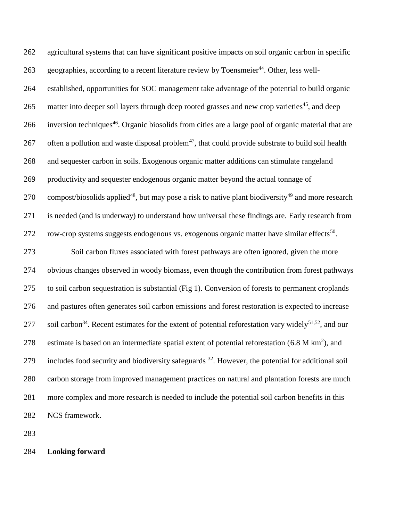agricultural systems that can have significant positive impacts on soil organic carbon in specific 263 geographies, according to a recent literature review by Toensmeier<sup>44</sup>. Other, less well- established, opportunities for SOC management take advantage of the potential to build organic 265 matter into deeper soil layers through deep rooted grasses and new crop varieties<sup>45</sup>, and deep 266 inversion techniques<sup>46</sup>. Organic biosolids from cities are a large pool of organic material that are 267 often a pollution and waste disposal problem<sup>47</sup>, that could provide substrate to build soil health and sequester carbon in soils. Exogenous organic matter additions can stimulate rangeland productivity and sequester endogenous organic matter beyond the actual tonnage of 270 compost/biosolids applied<sup>48</sup>, but may pose a risk to native plant biodiversity<sup>49</sup> and more research is needed (and is underway) to understand how universal these findings are. Early research from 272 row-crop systems suggests endogenous vs. exogenous organic matter have similar effects<sup>50</sup>. Soil carbon fluxes associated with forest pathways are often ignored, given the more obvious changes observed in woody biomass, even though the contribution from forest pathways to soil carbon sequestration is substantial (Fig 1). Conversion of forests to permanent croplands and pastures often generates soil carbon emissions and forest restoration is expected to increase 277 soil carbon<sup>34</sup>. Recent estimates for the extent of potential reforestation vary widely<sup>51,52</sup>, and our 278 estimate is based on an intermediate spatial extent of potential reforestation  $(6.8 \text{ M km}^2)$ , and 279 includes food security and biodiversity safeguards . However, the potential for additional soil carbon storage from improved management practices on natural and plantation forests are much more complex and more research is needed to include the potential soil carbon benefits in this NCS framework.

**Looking forward**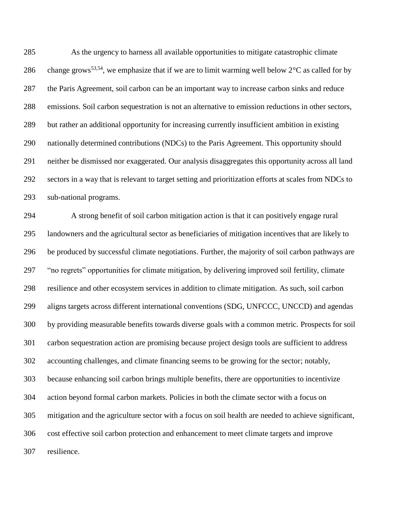As the urgency to harness all available opportunities to mitigate catastrophic climate 286 change grows<sup>53,54</sup>, we emphasize that if we are to limit warming well below 2 $\degree$ C as called for by the Paris Agreement, soil carbon can be an important way to increase carbon sinks and reduce emissions. Soil carbon sequestration is not an alternative to emission reductions in other sectors, but rather an additional opportunity for increasing currently insufficient ambition in existing nationally determined contributions (NDCs) to the Paris Agreement. This opportunity should neither be dismissed nor exaggerated. Our analysis disaggregates this opportunity across all land sectors in a way that is relevant to target setting and prioritization efforts at scales from NDCs to sub-national programs.

 A strong benefit of soil carbon mitigation action is that it can positively engage rural landowners and the agricultural sector as beneficiaries of mitigation incentives that are likely to be produced by successful climate negotiations. Further, the majority of soil carbon pathways are "no regrets" opportunities for climate mitigation, by delivering improved soil fertility, climate resilience and other ecosystem services in addition to climate mitigation. As such, soil carbon aligns targets across different international conventions (SDG, UNFCCC, UNCCD) and agendas by providing measurable benefits towards diverse goals with a common metric. Prospects for soil carbon sequestration action are promising because project design tools are sufficient to address accounting challenges, and climate financing seems to be growing for the sector; notably, because enhancing soil carbon brings multiple benefits, there are opportunities to incentivize action beyond formal carbon markets. Policies in both the climate sector with a focus on mitigation and the agriculture sector with a focus on soil health are needed to achieve significant, cost effective soil carbon protection and enhancement to meet climate targets and improve resilience.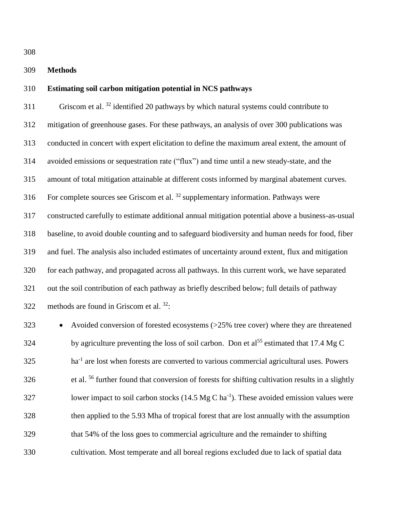#### **Methods**

## **Estimating soil carbon mitigation potential in NCS pathways**

 Griscom et al.  $32$  identified 20 pathways by which natural systems could contribute to mitigation of greenhouse gases. For these pathways, an analysis of over 300 publications was conducted in concert with expert elicitation to define the maximum areal extent, the amount of avoided emissions or sequestration rate ("flux") and time until a new steady-state, and the amount of total mitigation attainable at different costs informed by marginal abatement curves. For complete sources see Griscom et al.  $32$  supplementary information. Pathways were constructed carefully to estimate additional annual mitigation potential above a business-as-usual baseline, to avoid double counting and to safeguard biodiversity and human needs for food, fiber and fuel. The analysis also included estimates of uncertainty around extent, flux and mitigation for each pathway, and propagated across all pathways. In this current work, we have separated out the soil contribution of each pathway as briefly described below; full details of pathway 322 methods are found in Griscom et al. :

 • Avoided conversion of forested ecosystems (>25% tree cover) where they are threatened by agriculture preventing the loss of soil carbon. Don et al<sup>55</sup> estimated that 17.4 Mg C ha<sup>-1</sup> are lost when forests are converted to various commercial agricultural uses. Powers 326 et al. <sup>56</sup> further found that conversion of forests for shifting cultivation results in a slightly 327 lower impact to soil carbon stocks  $(14.5 \text{ Mg C ha}^{-1})$ . These avoided emission values were then applied to the 5.93 Mha of tropical forest that are lost annually with the assumption that 54% of the loss goes to commercial agriculture and the remainder to shifting cultivation. Most temperate and all boreal regions excluded due to lack of spatial data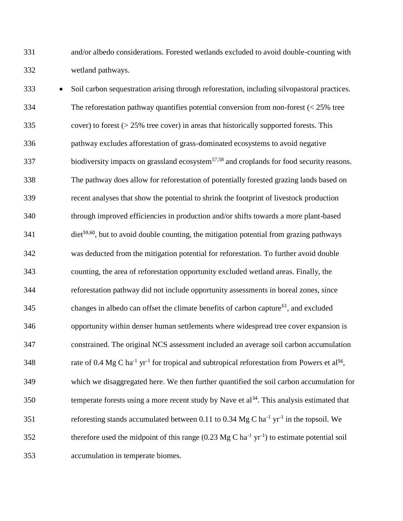and/or albedo considerations. Forested wetlands excluded to avoid double-counting with wetland pathways.

 • Soil carbon sequestration arising through reforestation, including silvopastoral practices. The reforestation pathway quantifies potential conversion from non-forest (< 25% tree cover) to forest (> 25% tree cover) in areas that historically supported forests. This pathway excludes afforestation of grass-dominated ecosystems to avoid negative 337 biodiversity impacts on grassland ecosystem<sup>57,58</sup> and croplands for food security reasons. The pathway does allow for reforestation of potentially forested grazing lands based on recent analyses that show the potential to shrink the footprint of livestock production through improved efficiencies in production and/or shifts towards a more plant-based  $\frac{341}{ }$  diet<sup>59,60</sup>, but to avoid double counting, the mitigation potential from grazing pathways was deducted from the mitigation potential for reforestation. To further avoid double counting, the area of reforestation opportunity excluded wetland areas. Finally, the reforestation pathway did not include opportunity assessments in boreal zones, since changes in albedo can offset the climate benefits of carbon capture<sup>61</sup>, and excluded opportunity within denser human settlements where widespread tree cover expansion is constrained. The original NCS assessment included an average soil carbon accumulation 348 rate of 0.4 Mg C ha<sup>-1</sup> yr<sup>-1</sup> for tropical and subtropical reforestation from Powers et al<sup>56</sup>, which we disaggregated here. We then further quantified the soil carbon accumulation for temperate forests using a more recent study by Nave et al<sup>34</sup>. This analysis estimated that 351 reforesting stands accumulated between 0.11 to 0.34 Mg C ha<sup>-1</sup> yr<sup>-1</sup> in the topsoil. We 352 therefore used the midpoint of this range  $(0.23 \text{ Mg C ha}^{-1} \text{ yr}^{-1})$  to estimate potential soil accumulation in temperate biomes.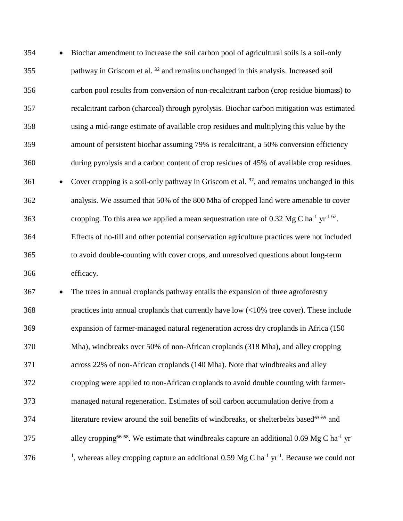• Biochar amendment to increase the soil carbon pool of agricultural soils is a soil-only 355 pathway in Griscom et al. <sup>32</sup> and remains unchanged in this analysis. Increased soil carbon pool results from conversion of non-recalcitrant carbon (crop residue biomass) to recalcitrant carbon (charcoal) through pyrolysis. Biochar carbon mitigation was estimated using a mid-range estimate of available crop residues and multiplying this value by the amount of persistent biochar assuming 79% is recalcitrant, a 50% conversion efficiency during pyrolysis and a carbon content of crop residues of 45% of available crop residues. 361 • Cover cropping is a soil-only pathway in Griscom et al. , and remains unchanged in this analysis. We assumed that 50% of the 800 Mha of cropped land were amenable to cover 363 cropping. To this area we applied a mean sequestration rate of 0.32 Mg C ha<sup>-1</sup> yr<sup>-1 62</sup>. Effects of no-till and other potential conservation agriculture practices were not included to avoid double-counting with cover crops, and unresolved questions about long-term efficacy.

367 • The trees in annual croplands pathway entails the expansion of three agroforestry practices into annual croplands that currently have low (<10% tree cover). These include expansion of farmer-managed natural regeneration across dry croplands in Africa (150 Mha), windbreaks over 50% of non-African croplands (318 Mha), and alley cropping across 22% of non-African croplands (140 Mha). Note that windbreaks and alley cropping were applied to non-African croplands to avoid double counting with farmer- managed natural regeneration. Estimates of soil carbon accumulation derive from a 374 literature review around the soil benefits of windbreaks, or shelterbelts based<sup>63-65</sup> and alley cropping<sup>66-68</sup>. We estimate that windbreaks capture an additional 0.69 Mg C ha<sup>-1</sup> yr<sup>-</sup>  $\frac{1}{1}$ , whereas alley cropping capture an additional 0.59 Mg C ha<sup>-1</sup> yr<sup>-1</sup>. Because we could not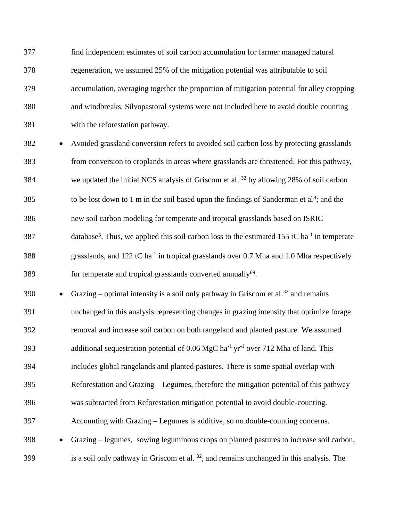find independent estimates of soil carbon accumulation for farmer managed natural regeneration, we assumed 25% of the mitigation potential was attributable to soil accumulation, averaging together the proportion of mitigation potential for alley cropping and windbreaks. Silvopastoral systems were not included here to avoid double counting with the reforestation pathway.

 • Avoided grassland conversion refers to avoided soil carbon loss by protecting grasslands from conversion to croplands in areas where grasslands are threatened. For this pathway, 384 we updated the initial NCS analysis of Griscom et al. by allowing 28% of soil carbon to be lost down to 1 m in the soil based upon the findings of Sanderman et al<sup>3</sup>; and the new soil carbon modeling for temperate and tropical grasslands based on ISRIC 387 database<sup>3</sup>. Thus, we applied this soil carbon loss to the estimated 155 tC ha<sup>-1</sup> in temperate 388 grasslands, and 122 tC ha<sup>-1</sup> in tropical grasslands over 0.7 Mha and 1.0 Mha respectively  $f_{\text{5}}$  for temperate and tropical grasslands converted annually<sup>69</sup>.

390 • Grazing – optimal intensity is a soil only pathway in Griscom et al.<sup>32</sup> and remains unchanged in this analysis representing changes in grazing intensity that optimize forage removal and increase soil carbon on both rangeland and planted pasture. We assumed 393 additional sequestration potential of  $0.06 \text{ MgC}$  ha<sup>-1</sup> yr<sup>-1</sup> over 712 Mha of land. This includes global rangelands and planted pastures. There is some spatial overlap with Reforestation and Grazing – Legumes, therefore the mitigation potential of this pathway was subtracted from Reforestation mitigation potential to avoid double-counting. Accounting with Grazing – Legumes is additive, so no double-counting concerns. • Grazing – legumes, sowing leguminous crops on planted pastures to increase soil carbon, is a soil only pathway in Griscom et al.  $32$ , and remains unchanged in this analysis. The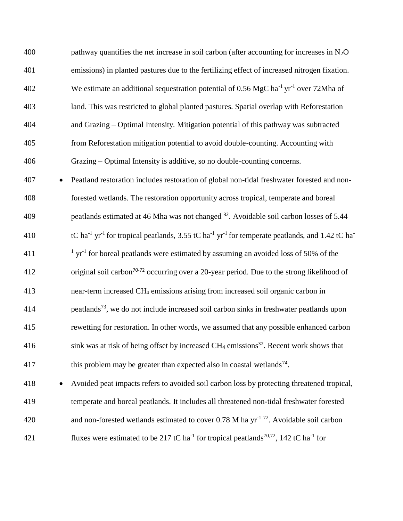| 400              | pathway quantifies the net increase in soil carbon (after accounting for increases in $N_2O$                                                                 |
|------------------|--------------------------------------------------------------------------------------------------------------------------------------------------------------|
| 401              | emissions) in planted pastures due to the fertilizing effect of increased nitrogen fixation.                                                                 |
| 402              | We estimate an additional sequestration potential of 0.56 MgC ha <sup>-1</sup> yr <sup>-1</sup> over 72Mha of                                                |
| 403              | land. This was restricted to global planted pastures. Spatial overlap with Reforestation                                                                     |
| 404              | and Grazing - Optimal Intensity. Mitigation potential of this pathway was subtracted                                                                         |
| 405              | from Reforestation mitigation potential to avoid double-counting. Accounting with                                                                            |
| 406              | Grazing – Optimal Intensity is additive, so no double-counting concerns.                                                                                     |
| 407<br>$\bullet$ | Peatland restoration includes restoration of global non-tidal freshwater forested and non-                                                                   |
| 408              | forested wetlands. The restoration opportunity across tropical, temperate and boreal                                                                         |
| 409              | peatlands estimated at 46 Mha was not changed <sup>32</sup> . Avoidable soil carbon losses of 5.44                                                           |
| 410              | tC ha <sup>-1</sup> yr <sup>-1</sup> for tropical peatlands, 3.55 tC ha <sup>-1</sup> yr <sup>-1</sup> for temperate peatlands, and 1.42 tC ha <sup>-1</sup> |
| 411              | $1 \text{ yr}^{-1}$ for boreal peatlands were estimated by assuming an avoided loss of 50% of the                                                            |
| 412              | original soil carbon <sup>70-72</sup> occurring over a 20-year period. Due to the strong likelihood of                                                       |
| 413              | near-term increased CH <sub>4</sub> emissions arising from increased soil organic carbon in                                                                  |
| 414              | peatlands <sup>73</sup> , we do not include increased soil carbon sinks in freshwater peatlands upon                                                         |
| 415              | rewetting for restoration. In other words, we assumed that any possible enhanced carbon                                                                      |
| 416              | sink was at risk of being offset by increased CH <sub>4</sub> emissions <sup>32</sup> . Recent work shows that                                               |
| 417              | this problem may be greater than expected also in coastal wetlands <sup>74</sup> .                                                                           |
| 418<br>$\bullet$ | Avoided peat impacts refers to avoided soil carbon loss by protecting threatened tropical,                                                                   |
| 419              | temperate and boreal peatlands. It includes all threatened non-tidal freshwater forested                                                                     |
| 420              | and non-forested wetlands estimated to cover 0.78 M ha $yr^{-1}$ <sup>72</sup> . Avoidable soil carbon                                                       |

421 fluxes were estimated to be 217 tC ha<sup>-1</sup> for tropical peatlands<sup>70,72</sup>, 142 tC ha<sup>-1</sup> for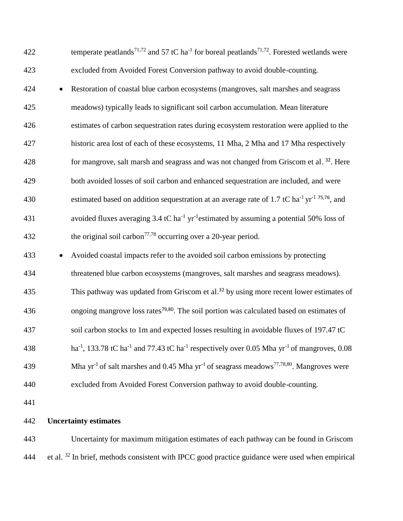| 422              | temperate peatlands <sup>71,72</sup> and 57 tC ha <sup>-1</sup> for boreal peatlands <sup>71,72</sup> . Forested wetlands were             |
|------------------|--------------------------------------------------------------------------------------------------------------------------------------------|
| 423              | excluded from Avoided Forest Conversion pathway to avoid double-counting.                                                                  |
| 424<br>$\bullet$ | Restoration of coastal blue carbon ecosystems (mangroves, salt marshes and seagrass                                                        |
| 425              | meadows) typically leads to significant soil carbon accumulation. Mean literature                                                          |
| 426              | estimates of carbon sequestration rates during ecosystem restoration were applied to the                                                   |
| 427              | historic area lost of each of these ecosystems, 11 Mha, 2 Mha and 17 Mha respectively                                                      |
| 428              | for mangrove, salt marsh and seagrass and was not changed from Griscom et al. <sup>32</sup> . Here                                         |
| 429              | both avoided losses of soil carbon and enhanced sequestration are included, and were                                                       |
| 430              | estimated based on addition sequestration at an average rate of 1.7 tC ha <sup>-1</sup> yr <sup>-1 75,76</sup> , and                       |
| 431              | avoided fluxes averaging 3.4 tC ha <sup>-1</sup> yr <sup>-1</sup> estimated by assuming a potential 50% loss of                            |
| 432              | the original soil carbon <sup><math>77,78</math></sup> occurring over a 20-year period.                                                    |
| 433<br>$\bullet$ | Avoided coastal impacts refer to the avoided soil carbon emissions by protecting                                                           |
| 434              | threatened blue carbon ecosystems (mangroves, salt marshes and seagrass meadows).                                                          |
| 435              | This pathway was updated from Griscom et al. <sup>32</sup> by using more recent lower estimates of                                         |
| 436              | ongoing mangrove loss rates <sup>79,80</sup> . The soil portion was calculated based on estimates of                                       |
| 437              | soil carbon stocks to 1m and expected losses resulting in avoidable fluxes of 197.47 tC                                                    |
| 438              | ha <sup>-1</sup> , 133.78 tC ha <sup>-1</sup> and 77.43 tC ha <sup>-1</sup> respectively over 0.05 Mha yr <sup>-1</sup> of mangroves, 0.08 |
| 439              | Mha yr <sup>-1</sup> of salt marshes and 0.45 Mha yr <sup>-1</sup> of seagrass meadows <sup>77,78,80</sup> . Mangroves were                |
| 440              | excluded from Avoided Forest Conversion pathway to avoid double-counting.                                                                  |
| 441              |                                                                                                                                            |
|                  |                                                                                                                                            |

# **Uncertainty estimates**

 Uncertainty for maximum mitigation estimates of each pathway can be found in Griscom 444 et al. <sup>32</sup> In brief, methods consistent with IPCC good practice guidance were used when empirical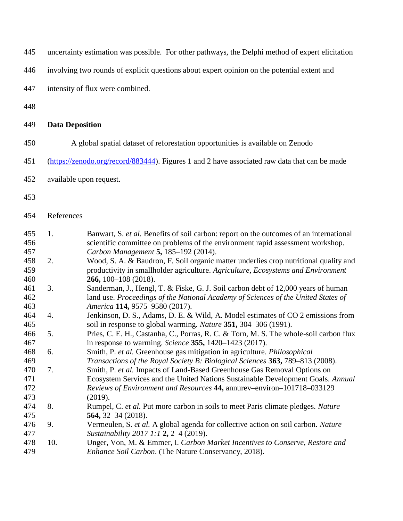| 445                      | uncertainty estimation was possible. For other pathways, the Delphi method of expert elicitation |                                                                                                                                                                                                                                                  |  |
|--------------------------|--------------------------------------------------------------------------------------------------|--------------------------------------------------------------------------------------------------------------------------------------------------------------------------------------------------------------------------------------------------|--|
| 446                      | involving two rounds of explicit questions about expert opinion on the potential extent and      |                                                                                                                                                                                                                                                  |  |
| 447                      | intensity of flux were combined.                                                                 |                                                                                                                                                                                                                                                  |  |
| 448                      |                                                                                                  |                                                                                                                                                                                                                                                  |  |
| 449                      | <b>Data Deposition</b>                                                                           |                                                                                                                                                                                                                                                  |  |
| 450                      |                                                                                                  | A global spatial dataset of reforestation opportunities is available on Zenodo                                                                                                                                                                   |  |
| 451                      | (https://zenodo.org/record/883444). Figures 1 and 2 have associated raw data that can be made    |                                                                                                                                                                                                                                                  |  |
| 452                      | available upon request.                                                                          |                                                                                                                                                                                                                                                  |  |
| 453                      |                                                                                                  |                                                                                                                                                                                                                                                  |  |
| 454                      | References                                                                                       |                                                                                                                                                                                                                                                  |  |
| 455<br>456<br>457        | 1.                                                                                               | Banwart, S. et al. Benefits of soil carbon: report on the outcomes of an international<br>scientific committee on problems of the environment rapid assessment workshop.<br>Carbon Management 5, 185-192 (2014).                                 |  |
| 458<br>459<br>460        | 2.                                                                                               | Wood, S. A. & Baudron, F. Soil organic matter underlies crop nutritional quality and<br>productivity in smallholder agriculture. Agriculture, Ecosystems and Environment<br>$266, 100 - 108$ (2018).                                             |  |
| 461<br>462               | 3.                                                                                               | Sanderman, J., Hengl, T. & Fiske, G. J. Soil carbon debt of 12,000 years of human<br>land use. Proceedings of the National Academy of Sciences of the United States of                                                                           |  |
| 463<br>464<br>465        | 4.                                                                                               | America 114, 9575-9580 (2017).<br>Jenkinson, D. S., Adams, D. E. & Wild, A. Model estimates of CO 2 emissions from<br>soil in response to global warming. Nature 351, 304–306 (1991).                                                            |  |
| 466<br>467               | 5.                                                                                               | Pries, C. E. H., Castanha, C., Porras, R. C. & Torn, M. S. The whole-soil carbon flux<br>in response to warming. Science 355, 1420-1423 (2017).                                                                                                  |  |
| 468<br>469               | 6.                                                                                               | Smith, P. et al. Greenhouse gas mitigation in agriculture. <i>Philosophical</i><br>Transactions of the Royal Society B: Biological Sciences 363, 789-813 (2008).                                                                                 |  |
| 470<br>471<br>472<br>473 | 7.                                                                                               | Smith, P. et al. Impacts of Land-Based Greenhouse Gas Removal Options on<br>Ecosystem Services and the United Nations Sustainable Development Goals. Annual<br>Reviews of Environment and Resources 44, annurev-environ-101718-033129<br>(2019). |  |
| 474<br>475               | 8.                                                                                               | Rumpel, C. et al. Put more carbon in soils to meet Paris climate pledges. Nature<br>564, 32-34 (2018).                                                                                                                                           |  |
| 476<br>477               | 9.                                                                                               | Vermeulen, S. et al. A global agenda for collective action on soil carbon. Nature<br>Sustainability 2017 1:1 2, 2-4 (2019).                                                                                                                      |  |
| 478<br>479               | 10.                                                                                              | Unger, Von, M. & Emmer, I. Carbon Market Incentives to Conserve, Restore and<br>Enhance Soil Carbon. (The Nature Conservancy, 2018).                                                                                                             |  |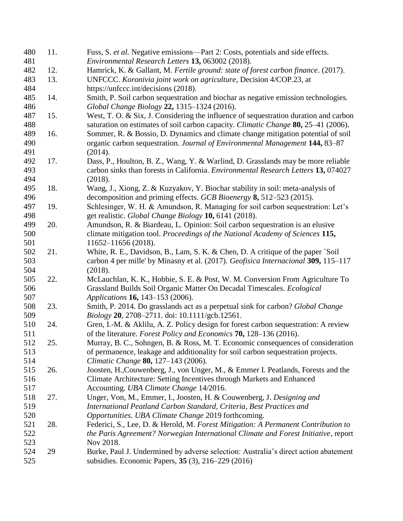| 480 | 11. | Fuss, S. et al. Negative emissions—Part 2: Costs, potentials and side effects.       |
|-----|-----|--------------------------------------------------------------------------------------|
| 481 |     | Environmental Research Letters 13, 063002 (2018).                                    |
| 482 | 12. | Hamrick, K. & Gallant, M. Fertile ground: state of forest carbon finance. (2017).    |
| 483 | 13. | UNFCCC. Koronivia joint work on agriculture, Decision 4/COP.23, at                   |
| 484 |     | https://unfccc.int/decisions (2018).                                                 |
| 485 | 14. | Smith, P. Soil carbon sequestration and biochar as negative emission technologies.   |
| 486 |     | Global Change Biology 22, 1315-1324 (2016).                                          |
| 487 | 15. | West, T. O. & Six, J. Considering the influence of sequestration duration and carbon |
| 488 |     | saturation on estimates of soil carbon capacity. Climatic Change 80, 25–41 (2006).   |
| 489 | 16. | Sommer, R. & Bossio, D. Dynamics and climate change mitigation potential of soil     |
| 490 |     | organic carbon sequestration. Journal of Environmental Management 144, 83–87         |
| 491 |     | (2014).                                                                              |
| 492 | 17. | Dass, P., Houlton, B. Z., Wang, Y. & Warlind, D. Grasslands may be more reliable     |
| 493 |     | carbon sinks than forests in California. Environmental Research Letters 13, 074027   |
| 494 |     | (2018).                                                                              |
| 495 | 18. | Wang, J., Xiong, Z. & Kuzyakov, Y. Biochar stability in soil: meta-analysis of       |
| 496 |     | decomposition and priming effects. GCB Bioenergy 8, 512–523 (2015).                  |
| 497 | 19. | Schlesinger, W. H. & Amundson, R. Managing for soil carbon sequestration: Let's      |
| 498 |     | get realistic. Global Change Biology 10, 6141 (2018).                                |
| 499 | 20. | Amundson, R. & Biardeau, L. Opinion: Soil carbon sequestration is an elusive         |
| 500 |     | climate mitigation tool. Proceedings of the National Academy of Sciences 115,        |
| 501 |     | 11652-11656 (2018).                                                                  |
| 502 | 21. | White, R. E., Davidson, B., Lam, S. K. & Chen, D. A critique of the paper `Soil      |
| 503 |     | carbon 4 per mille' by Minasny et al. (2017). Geofisica Internacional 309, 115-117   |
| 504 |     | (2018).                                                                              |
| 505 | 22. | McLauchlan, K. K., Hobbie, S. E. & Post, W. M. Conversion From Agriculture To        |
| 506 |     | Grassland Builds Soil Organic Matter On Decadal Timescales. Ecological               |
| 507 |     | Applications 16, 143-153 (2006).                                                     |
| 508 | 23. | Smith, P. 2014. Do grasslands act as a perpetual sink for carbon? Global Change      |
| 509 |     | Biology 20, 2708-2711. doi: 10.1111/gcb.12561.                                       |
| 510 | 24. | Gren, I.-M. & Aklilu, A. Z. Policy design for forest carbon sequestration: A review  |
| 511 |     | of the literature. Forest Policy and Economics 70, 128–136 (2016).                   |
| 512 | 25. | Murray, B. C., Sohngen, B. & Ross, M. T. Economic consequences of consideration      |
| 513 |     | of permanence, leakage and additionality for soil carbon sequestration projects.     |
| 514 |     | Climatic Change 80, 127-143 (2006).                                                  |
| 515 | 26. | Joosten, H., Couwenberg, J., von Unger, M., & Emmer I. Peatlands, Forests and the    |
| 516 |     | Climate Architecture: Setting Incentives through Markets and Enhanced                |
| 517 |     | Accounting. UBA Climate Change 14/2016.                                              |
| 518 | 27. | Unger, Von, M., Emmer, I., Joosten, H. & Couwenberg, J. Designing and                |
| 519 |     | International Peatland Carbon Standard, Criteria, Best Practices and                 |
| 520 |     | Opportunities. UBA Climate Change 2019 forthcoming.                                  |
| 521 | 28. | Federici, S., Lee, D. & Herold, M. Forest Mitigation: A Permanent Contribution to    |
| 522 |     | the Paris Agreement? Norwegian International Climate and Forest Initiative, report   |
| 523 |     | Nov 2018.                                                                            |
| 524 | 29  | Burke, Paul J. Undermined by adverse selection: Australia's direct action abatement  |
| 525 |     | subsidies. Economic Papers, 35 (3), 216–229 (2016)                                   |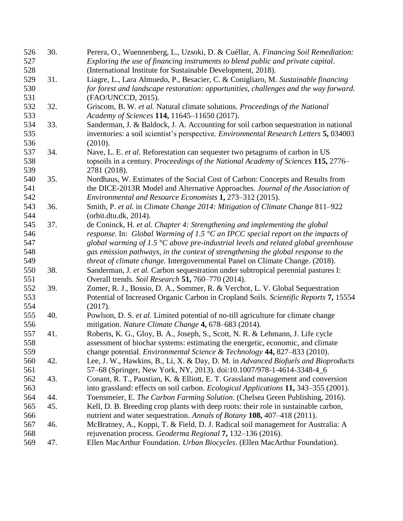| 526        | 30. | Perera, O., Wuennenberg, L., Uzsoki, D. & Cuéllar, A. Financing Soil Remediation:            |
|------------|-----|----------------------------------------------------------------------------------------------|
| 527        |     | Exploring the use of financing instruments to blend public and private capital.              |
| 528        |     | (International Institute for Sustainable Development, 2018).                                 |
| 529        | 31. | Liagre, L., Lara Almuedo, P., Besacier, C. & Conigliaro, M. Sustainable financing            |
| 530        |     | for forest and landscape restoration: opportunities, challenges and the way forward.         |
| 531        |     | (FAO/UNCCD, 2015).                                                                           |
| 532        | 32. | Griscom, B. W. et al. Natural climate solutions. Proceedings of the National                 |
| 533        |     | Academy of Sciences 114, 11645-11650 (2017).                                                 |
| 534        | 33. | Sanderman, J. & Baldock, J. A. Accounting for soil carbon sequestration in national          |
| 535        |     | inventories: a soil scientist's perspective. <i>Environmental Research Letters</i> 5, 034003 |
| 536        |     | (2010).                                                                                      |
| 537        | 34. | Nave, L. E. et al. Reforestation can sequester two petagrams of carbon in US                 |
| 538        |     | topsoils in a century. Proceedings of the National Academy of Sciences 115, 2776–            |
| 539        |     | 2781 (2018).                                                                                 |
| 540        | 35. | Nordhaus, W. Estimates of the Social Cost of Carbon: Concepts and Results from               |
| 541        |     |                                                                                              |
|            |     | the DICE-2013R Model and Alternative Approaches. Journal of the Association of               |
| 542<br>543 |     | Environmental and Resource Economists 1, 273–312 (2015).                                     |
|            | 36. | Smith, P. et al. in Climate Change 2014: Mitigation of Climate Change 811–922                |
| 544        |     | (orbit.dtu.dk, 2014).                                                                        |
| 545        | 37. | de Coninck, H. et al. Chapter 4: Strengthening and implementing the global                   |
| 546        |     | response. In: Global Warming of 1.5 $\degree$ C an IPCC special report on the impacts of     |
| 547        |     | global warming of 1.5 $\degree$ C above pre-industrial levels and related global greenhouse  |
| 548        |     | gas emission pathways, in the context of strengthening the global response to the            |
| 549        |     | threat of climate change. Intergovernmental Panel on Climate Change. (2018).                 |
| 550        | 38. | Sanderman, J. et al. Carbon sequestration under subtropical perennial pastures I:            |
| 551        |     | Overall trends. Soil Research 51, 760-770 (2014).                                            |
| 552        | 39. | Zomer, R. J., Bossio, D. A., Sommer, R. & Verchot, L. V. Global Sequestration                |
| 553        |     | Potential of Increased Organic Carbon in Cropland Soils. Scientific Reports 7, 15554         |
| 554        |     | (2017).                                                                                      |
| 555        | 40. | Powlson, D. S. et al. Limited potential of no-till agriculture for climate change            |
| 556        |     | mitigation. Nature Climate Change 4, 678-683 (2014).                                         |
| 557        | 41. | Roberts, K. G., Gloy, B. A., Joseph, S., Scott, N. R. & Lehmann, J. Life cycle               |
| 558        |     | assessment of biochar systems: estimating the energetic, economic, and climate               |
| 559        |     | change potential. <i>Environmental Science &amp; Technology</i> 44, 827–833 (2010).          |
| 560        | 42. | Lee, J. W., Hawkins, B., Li, X. & Day, D. M. in Advanced Biofuels and Bioproducts            |
| 561        |     | 57–68 (Springer, New York, NY, 2013). doi:10.1007/978-1-4614-3348-4_6                        |
| 562        | 43. | Conant, R. T., Paustian, K. & Elliott, E. T. Grassland management and conversion             |
| 563        |     | into grassland: effects on soil carbon. <i>Ecological Applications</i> 11, 343–355 (2001).   |
| 564        | 44. | Toensmeier, E. The Carbon Farming Solution. (Chelsea Green Publishing, 2016).                |
| 565        | 45. | Kell, D. B. Breeding crop plants with deep roots: their role in sustainable carbon,          |
| 566        |     | nutrient and water sequestration. Annals of Botany 108, 407–418 (2011).                      |
| 567        | 46. | McBratney, A., Koppi, T. & Field, D. J. Radical soil management for Australia: A             |
| 568        |     | rejuvenation process. Geoderma Regional 7, 132-136 (2016).                                   |
| 569        | 47. | Ellen MacArthur Foundation. Urban Biocycles. (Ellen MacArthur Foundation).                   |
|            |     |                                                                                              |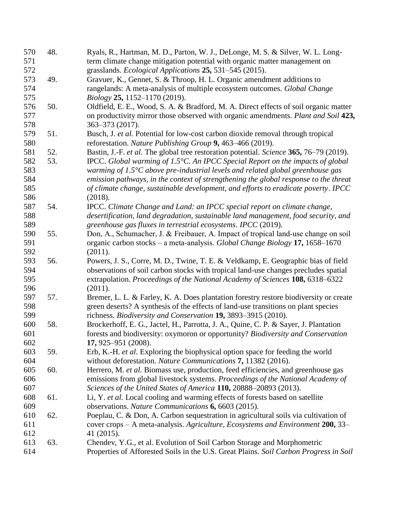| 570<br>571 | 48. | Ryals, R., Hartman, M. D., Parton, W. J., DeLonge, M. S. & Silver, W. L. Long-<br>term climate change mitigation potential with organic matter management on             |
|------------|-----|--------------------------------------------------------------------------------------------------------------------------------------------------------------------------|
| 572        |     | grasslands. <i>Ecological Applications</i> 25, 531–545 (2015).                                                                                                           |
| 573        | 49. | Gravuer, K., Gennet, S. & Throop, H. L. Organic amendment additions to                                                                                                   |
| 574        |     | rangelands: A meta-analysis of multiple ecosystem outcomes. Global Change                                                                                                |
| 575        |     | <i>Biology</i> 25, 1152-1170 (2019).                                                                                                                                     |
| 576        | 50. | Oldfield, E. E., Wood, S. A. & Bradford, M. A. Direct effects of soil organic matter                                                                                     |
| 577        |     | on productivity mirror those observed with organic amendments. Plant and Soil 423,                                                                                       |
| 578        |     | 363-373 (2017).                                                                                                                                                          |
| 579        | 51. | Busch, J. et al. Potential for low-cost carbon dioxide removal through tropical                                                                                          |
| 580        |     | reforestation. Nature Publishing Group 9, 463-466 (2019).                                                                                                                |
| 581        | 52. | Bastin, J.-F. et al. The global tree restoration potential. Science 365, 76–79 (2019).                                                                                   |
| 582        | 53. | IPCC. Global warming of $1.5^{\circ}$ C. An IPCC Special Report on the impacts of global                                                                                 |
| 583        |     | warming of $1.5^{\circ}$ C above pre-industrial levels and related global greenhouse gas                                                                                 |
| 584        |     | emission pathways, in the context of strengthening the global response to the threat                                                                                     |
| 585        |     | of climate change, sustainable development, and efforts to eradicate poverty. IPCC                                                                                       |
| 586        |     | (2018).                                                                                                                                                                  |
| 587        | 54. | IPCC. Climate Change and Land: an IPCC special report on climate change,                                                                                                 |
| 588        |     | desertification, land degradation, sustainable land management, food security, and                                                                                       |
| 589        |     | greenhouse gas fluxes in terrestrial ecosystems. IPCC (2019).                                                                                                            |
| 590        | 55. | Don, A., Schumacher, J. & Freibauer, A. Impact of tropical land-use change on soil                                                                                       |
| 591        |     | organic carbon stocks – a meta-analysis. Global Change Biology 17, 1658–1670                                                                                             |
| 592        |     | (2011).                                                                                                                                                                  |
| 593        | 56. | Powers, J. S., Corre, M. D., Twine, T. E. & Veldkamp, E. Geographic bias of field                                                                                        |
| 594        |     | observations of soil carbon stocks with tropical land-use changes precludes spatial                                                                                      |
| 595        |     | extrapolation. Proceedings of the National Academy of Sciences 108, 6318-6322                                                                                            |
| 596        |     | (2011).                                                                                                                                                                  |
| 597        | 57. | Bremer, L. L. & Farley, K. A. Does plantation forestry restore biodiversity or create                                                                                    |
| 598        |     | green deserts? A synthesis of the effects of land-use transitions on plant species                                                                                       |
| 599        | 58. | richness. Biodiversity and Conservation 19, 3893-3915 (2010).                                                                                                            |
| 600<br>601 |     | Brockerhoff, E. G., Jactel, H., Parrotta, J. A., Quine, C. P. & Sayer, J. Plantation<br>forests and biodiversity: oxymoron or opportunity? Biodiversity and Conservation |
| 602        |     | 17, 925-951 (2008).                                                                                                                                                      |
| 603        | 59. | Erb, K.-H. et al. Exploring the biophysical option space for feeding the world                                                                                           |
| 604        |     | without deforestation. Nature Communications 7, 11382 (2016).                                                                                                            |
| 605        | 60. | Herrero, M. et al. Biomass use, production, feed efficiencies, and greenhouse gas                                                                                        |
| 606        |     | emissions from global livestock systems. Proceedings of the National Academy of                                                                                          |
| 607        |     | Sciences of the United States of America 110, 20888-20893 (2013).                                                                                                        |
| 608        | 61. | Li, Y. et al. Local cooling and warming effects of forests based on satellite                                                                                            |
| 609        |     | observations. Nature Communications 6, 6603 (2015).                                                                                                                      |
| 610        | 62. | Poeplau, C. & Don, A. Carbon sequestration in agricultural soils via cultivation of                                                                                      |
| 611        |     | cover crops – A meta-analysis. Agriculture, Ecosystems and Environment 200, 33–                                                                                          |
| 612        |     | 41 (2015).                                                                                                                                                               |
| 613        | 63. | Chendev, Y.G., et al. Evolution of Soil Carbon Storage and Morphometric                                                                                                  |
| 614        |     | Properties of Afforested Soils in the U.S. Great Plains. Soil Carbon Progress in Soil                                                                                    |
|            |     |                                                                                                                                                                          |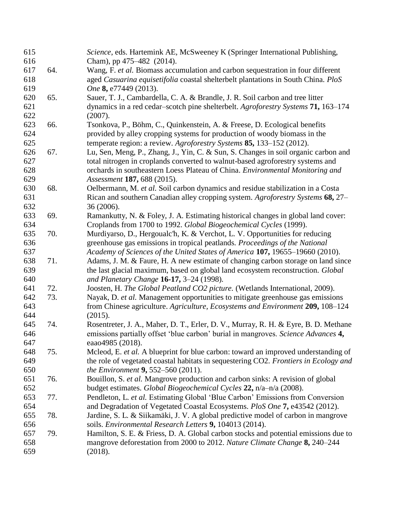| 615 |     | Science, eds. Hartemink AE, McSweeney K (Springer International Publishing,          |
|-----|-----|--------------------------------------------------------------------------------------|
| 616 |     | Cham), pp 475–482 (2014).                                                            |
| 617 | 64. | Wang, F. et al. Biomass accumulation and carbon sequestration in four different      |
| 618 |     | aged Casuarina equisetifolia coastal shelterbelt plantations in South China. PloS    |
| 619 |     | One 8, e77449 (2013).                                                                |
| 620 | 65. | Sauer, T. J., Cambardella, C. A. & Brandle, J. R. Soil carbon and tree litter        |
| 621 |     | dynamics in a red cedar–scotch pine shelterbelt. Agroforestry Systems 71, 163–174    |
| 622 |     | (2007).                                                                              |
| 623 | 66. | Tsonkova, P., Böhm, C., Quinkenstein, A. & Freese, D. Ecological benefits            |
| 624 |     | provided by alley cropping systems for production of woody biomass in the            |
| 625 |     | temperate region: a review. Agroforestry Systems 85, 133-152 (2012).                 |
| 626 | 67. | Lu, Sen, Meng, P., Zhang, J., Yin, C. & Sun, S. Changes in soil organic carbon and   |
| 627 |     | total nitrogen in croplands converted to walnut-based agroforestry systems and       |
| 628 |     | orchards in southeastern Loess Plateau of China. Environmental Monitoring and        |
| 629 |     | Assessment 187, 688 (2015).                                                          |
| 630 | 68. | Oelbermann, M. et al. Soil carbon dynamics and residue stabilization in a Costa      |
| 631 |     | Rican and southern Canadian alley cropping system. Agroforestry Systems 68, 27–      |
| 632 |     | 36 (2006).                                                                           |
| 633 | 69. | Ramankutty, N. & Foley, J. A. Estimating historical changes in global land cover:    |
| 634 |     | Croplands from 1700 to 1992. Global Biogeochemical Cycles (1999).                    |
| 635 | 70. | Murdiyarso, D., Hergoualc'h, K. & Verchot, L. V. Opportunities for reducing          |
| 636 |     | greenhouse gas emissions in tropical peatlands. Proceedings of the National          |
| 637 |     | Academy of Sciences of the United States of America 107, 19655-19660 (2010).         |
| 638 | 71. | Adams, J. M. & Faure, H. A new estimate of changing carbon storage on land since     |
| 639 |     | the last glacial maximum, based on global land ecosystem reconstruction. Global      |
| 640 |     | and Planetary Change 16-17, 3-24 (1998).                                             |
| 641 | 72. | Joosten, H. The Global Peatland CO2 picture. (Wetlands International, 2009).         |
| 642 | 73. | Nayak, D. et al. Management opportunities to mitigate greenhouse gas emissions       |
| 643 |     | from Chinese agriculture. Agriculture, Ecosystems and Environment 209, 108–124       |
| 644 |     | (2015).                                                                              |
| 645 | 74. | Rosentreter, J. A., Maher, D. T., Erler, D. V., Murray, R. H. & Eyre, B. D. Methane  |
| 646 |     | emissions partially offset 'blue carbon' burial in mangroves. Science Advances 4,    |
| 647 |     | eaao4985 (2018).                                                                     |
| 648 | 75. | Mcleod, E. et al. A blueprint for blue carbon: toward an improved understanding of   |
| 649 |     | the role of vegetated coastal habitats in sequestering CO2. Frontiers in Ecology and |
| 650 |     | the Environment 9, 552–560 (2011).                                                   |
| 651 | 76. | Bouillon, S. et al. Mangrove production and carbon sinks: A revision of global       |
| 652 |     | budget estimates. Global Biogeochemical Cycles 22, n/a-n/a (2008).                   |
| 653 | 77. | Pendleton, L. et al. Estimating Global 'Blue Carbon' Emissions from Conversion       |
| 654 |     | and Degradation of Vegetated Coastal Ecosystems. PloS One 7, e43542 (2012).          |
| 655 | 78. | Jardine, S. L. & Siikamäki, J. V. A global predictive model of carbon in mangrove    |
| 656 |     | soils. Environmental Research Letters 9, 104013 (2014).                              |
| 657 | 79. | Hamilton, S. E. & Friess, D. A. Global carbon stocks and potential emissions due to  |
| 658 |     | mangrove deforestation from 2000 to 2012. Nature Climate Change 8, 240-244           |
| 659 |     | (2018).                                                                              |
|     |     |                                                                                      |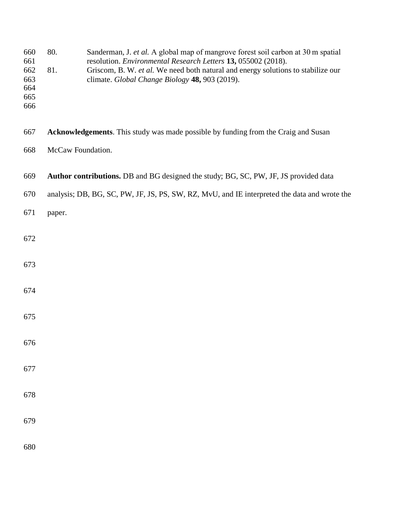| 660<br>661<br>662<br>663<br>664<br>665<br>666 | 80.<br>81.        | Sanderman, J. et al. A global map of mangrove forest soil carbon at 30 m spatial<br>resolution. Environmental Research Letters 13, 055002 (2018).<br>Griscom, B. W. et al. We need both natural and energy solutions to stabilize our<br>climate. Global Change Biology 48, 903 (2019). |  |
|-----------------------------------------------|-------------------|-----------------------------------------------------------------------------------------------------------------------------------------------------------------------------------------------------------------------------------------------------------------------------------------|--|
| 667                                           |                   | <b>Acknowledgements</b> . This study was made possible by funding from the Craig and Susan                                                                                                                                                                                              |  |
| 668                                           | McCaw Foundation. |                                                                                                                                                                                                                                                                                         |  |
| 669                                           |                   | Author contributions. DB and BG designed the study; BG, SC, PW, JF, JS provided data                                                                                                                                                                                                    |  |
| 670                                           |                   | analysis; DB, BG, SC, PW, JF, JS, PS, SW, RZ, MvU, and IE interpreted the data and wrote the                                                                                                                                                                                            |  |
| 671                                           | paper.            |                                                                                                                                                                                                                                                                                         |  |
| 672                                           |                   |                                                                                                                                                                                                                                                                                         |  |
| 673                                           |                   |                                                                                                                                                                                                                                                                                         |  |
| 674                                           |                   |                                                                                                                                                                                                                                                                                         |  |
| 675                                           |                   |                                                                                                                                                                                                                                                                                         |  |
| 676                                           |                   |                                                                                                                                                                                                                                                                                         |  |
| 677                                           |                   |                                                                                                                                                                                                                                                                                         |  |
| 678                                           |                   |                                                                                                                                                                                                                                                                                         |  |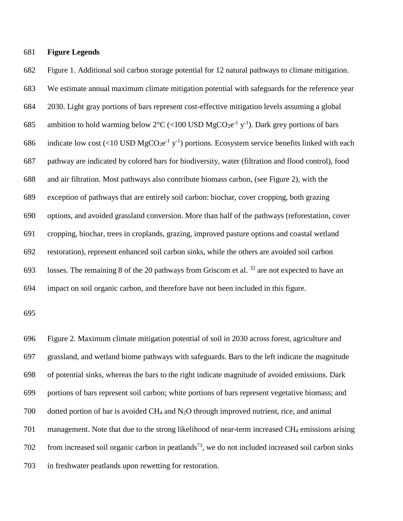#### **Figure Legends**

 Figure 1. Additional soil carbon storage potential for 12 natural pathways to climate mitigation. We estimate annual maximum climate mitigation potential with safeguards for the reference year 2030. Light gray portions of bars represent cost-effective mitigation levels assuming a global 685 ambition to hold warming below  $2^{\circ}C$  (<100 USD MgCO<sub>2</sub>e<sup>-1</sup> y<sup>-1</sup>). Dark grey portions of bars 686 indicate low cost  $\left($ <10 USD MgCO<sub>2</sub>e<sup>-1</sup> y<sup>-1</sup>) portions. Ecosystem service benefits linked with each pathway are indicated by colored bars for biodiversity, water (filtration and flood control), food and air filtration. Most pathways also contribute biomass carbon, (see Figure 2), with the exception of pathways that are entirely soil carbon: biochar, cover cropping, both grazing options, and avoided grassland conversion. More than half of the pathways (reforestation, cover cropping, biochar, trees in croplands, grazing, improved pasture options and coastal wetland restoration), represent enhanced soil carbon sinks, while the others are avoided soil carbon 693 losses. The remaining 8 of the 20 pathways from Griscom et al. are not expected to have an impact on soil organic carbon, and therefore have not been included in this figure.

 Figure 2. Maximum climate mitigation potential of soil in 2030 across forest, agriculture and grassland, and wetland biome pathways with safeguards. Bars to the left indicate the magnitude of potential sinks, whereas the bars to the right indicate magnitude of avoided emissions. Dark portions of bars represent soil carbon; white portions of bars represent vegetative biomass; and 700 dotted portion of bar is avoided  $CH_4$  and  $N_2O$  through improved nutrient, rice, and animal management. Note that due to the strong likelihood of near-term increased CH<sup>4</sup> emissions arising 702 from increased soil organic carbon in peatlands<sup>73</sup>, we do not included increased soil carbon sinks in freshwater peatlands upon rewetting for restoration.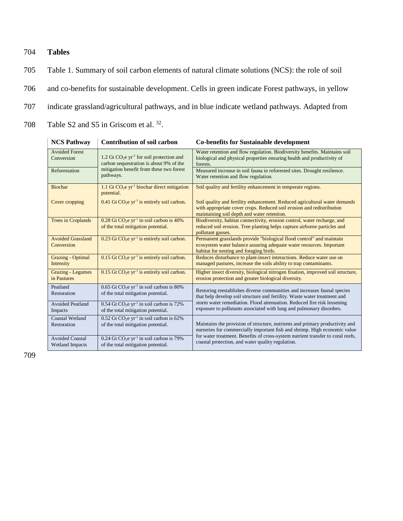704 **Tables** 705 Table 1. Summary of soil carbon elements of natural climate solutions (NCS): the role of soil 706 and co-benefits for sustainable development. Cells in green indicate Forest pathways, in yellow 707 indicate grassland/agricultural pathways, and in blue indicate wetland pathways. Adapted from 708 Table S2 and S5 in Griscom et al.  $32$ .

| <b>NCS Pathway</b>                               | <b>Contribution of soil carbon</b>                                                                                                             | <b>Co-benefits for Sustainable development</b>                                                                                                                                                     |  |
|--------------------------------------------------|------------------------------------------------------------------------------------------------------------------------------------------------|----------------------------------------------------------------------------------------------------------------------------------------------------------------------------------------------------|--|
| <b>Avoided Forest</b><br>Conversion              | 1.2 Gt $CO2e yr-1$ for soil protection and<br>carbon sequestration is about 9% of the<br>mitigation benefit from these two forest<br>pathways. | Water retention and flow regulation. Biodiversity benefits. Maintains soil<br>biological and physical properties ensuring health and productivity of<br>forests.                                   |  |
| Reforestation                                    |                                                                                                                                                | Measured increase in soil fauna in reforested sites. Drought resilience.<br>Water retention and flow regulation.                                                                                   |  |
| <b>Biochar</b>                                   | 1.1 Gt $CO2e yr-1 biochar direct mitigation$<br>potential.                                                                                     | Soil quality and fertility enhancement in temperate regions.                                                                                                                                       |  |
| Cover cropping                                   | $0.41$ Gt CO <sub>2</sub> e yr <sup>-1</sup> is entirely soil carbon.                                                                          | Soil quality and fertility enhancement. Reduced agricultural water demands<br>with appropriate cover crops. Reduced soil erosion and redistribution<br>maintaining soil depth and water retention. |  |
| <b>Trees in Croplands</b>                        | $0.28$ Gt CO <sub>2</sub> e yr <sup>-1</sup> in soil carbon is 40%<br>of the total mitigation potential.                                       | Biodiversity, habitat connectivity, erosion control, water recharge, and<br>reduced soil erosion. Tree planting helps capture airborne particles and<br>pollutant gasses.                          |  |
| <b>Avoided Grassland</b><br>Conversion           | $0.23$ Gt CO <sub>2</sub> e yr <sup>-1</sup> is entirely soil carbon.                                                                          | Permanent grasslands provide "biological flood control" and maintain<br>ecosystem water balance assuring adequate water resources. Important<br>habitat for nesting and foraging birds.            |  |
| <b>Grazing - Optimal</b><br>Intensity            | $0.15$ Gt CO <sub>2</sub> e yr <sup>-1</sup> is entirely soil carbon.                                                                          | Reduces disturbance to plant-insect interactions. Reduce water use on<br>managed pastures, increase the soils ability to trap contaminants.                                                        |  |
| <b>Grazing - Legumes</b><br>in Pastures          | $0.15$ Gt CO <sub>2</sub> e yr <sup>-1</sup> is entirely soil carbon.                                                                          | Higher insect diversity, biological nitrogen fixation, improved soil structure,<br>erosion protection and greater biological diversity.                                                            |  |
| Peatland<br>Restoration                          | $0.65$ Gt CO <sub>2</sub> e yr <sup>-1</sup> in soil carbon is 80%<br>of the total mitigation potential.                                       | Restoring reestablishes diverse communities and increases faunal species<br>that help develop soil structure and fertility. Waste water treatment and                                              |  |
| <b>Avoided Peatland</b><br>Impacts               | $0.54$ Gt CO <sub>2</sub> e yr <sup>-1</sup> in soil carbon is 72%<br>of the total mitigation potential.                                       | storm water remediation. Flood attenuation. Reduced fire risk lessening<br>exposure to pollutants associated with lung and pulmonary disorders.                                                    |  |
| <b>Coastal Wetland</b><br>Restoration            | $0.52$ Gt CO <sub>2</sub> e yr <sup>-1</sup> in soil carbon is 62%<br>of the total mitigation potential.                                       | Maintains the provision of structure, nutrients and primary productivity and<br>nurseries for commercially important fish and shrimp. High economic value                                          |  |
| <b>Avoided Coastal</b><br><b>Wetland Impacts</b> | $0.24$ Gt CO <sub>2</sub> e yr <sup>-1</sup> in soil carbon is 79%<br>of the total mitigation potential.                                       | for water treatment. Benefits of cross-system nutrient transfer to coral reefs,<br>coastal protection, and water quality regulation.                                                               |  |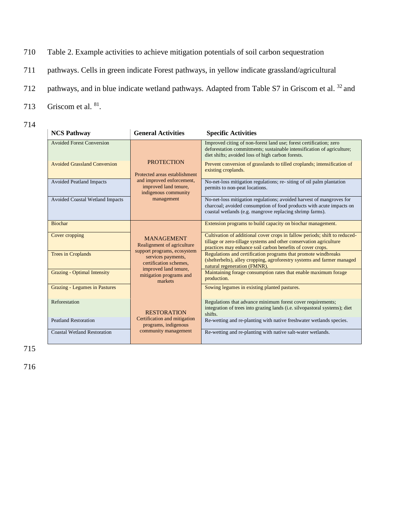- 710 Table 2. Example activities to achieve mitigation potentials of soil carbon sequestration
- 711 pathways. Cells in green indicate Forest pathways, in yellow indicate grassland/agricultural
- 712 pathways, and in blue indicate wetland pathways. Adapted from Table S7 in Griscom et al.  $32$  and
- 713 Griscom et al.  $81$ .
- 714

| <b>NCS Pathway</b>                   | <b>General Activities</b>                                                                            | <b>Specific Activities</b>                                                                                                                                                                                     |
|--------------------------------------|------------------------------------------------------------------------------------------------------|----------------------------------------------------------------------------------------------------------------------------------------------------------------------------------------------------------------|
| <b>Avoided Forest Conversion</b>     |                                                                                                      | Improved citing of non-forest land use; forest certification; zero<br>deforestation commitments; sustainable intensification of agriculture;<br>diet shifts; avoided loss of high carbon forests.              |
| <b>Avoided Grassland Conversion</b>  | <b>PROTECTION</b><br>Protected areas establishment                                                   | Prevent conversion of grasslands to tilled croplands; intensification of<br>existing croplands.                                                                                                                |
| <b>Avoided Peatland Impacts</b>      | and improved enforcement,<br>improved land tenure,<br>indigenous community                           | No-net-loss mitigation regulations; re- siting of oil palm plantation<br>permits to non-peat locations.                                                                                                        |
| Avoided Coastal Wetland Impacts      | management                                                                                           | No-net-loss mitigation regulations; avoided harvest of mangroves for<br>charcoal; avoided consumption of food products with acute impacts on<br>coastal wetlands (e.g. mangrove replacing shrimp farms).       |
| <b>Biochar</b>                       |                                                                                                      | Extension programs to build capacity on biochar management.                                                                                                                                                    |
| Cover cropping                       | <b>MANAGEMENT</b><br>Realignment of agriculture                                                      | Cultivation of additional cover crops in fallow periods; shift to reduced-<br>tillage or zero-tillage systems and other conservation agriculture<br>practices may enhance soil carbon benefits of cover crops. |
| <b>Trees in Croplands</b>            | support programs, ecosystem<br>services payments,<br>certification schemes.<br>improved land tenure, | Regulations and certification programs that promote windbreaks<br>(shelterbelts), alley cropping, agroforestry systems and farmer managed<br>natural regeneration (FMNR).                                      |
| <b>Grazing - Optimal Intensity</b>   | mitigation programs and<br>markets                                                                   | Maintaining forage consumption rates that enable maximum forage<br>production.                                                                                                                                 |
| <b>Grazing - Legumes in Pastures</b> |                                                                                                      | Sowing legumes in existing planted pastures.                                                                                                                                                                   |
| Reforestation                        | <b>RESTORATION</b>                                                                                   | Regulations that advance minimum forest cover requirements;<br>integration of trees into grazing lands (i.e. silvopastoral systems); diet<br>shifts.                                                           |
| <b>Peatland Restoration</b>          | Certification and mitigation<br>programs, indigenous                                                 | Re-wetting and re-planting with native freshwater wetlands species.                                                                                                                                            |
| <b>Coastal Wetland Restoration</b>   | community management                                                                                 | Re-wetting and re-planting with native salt-water wetlands.                                                                                                                                                    |

715